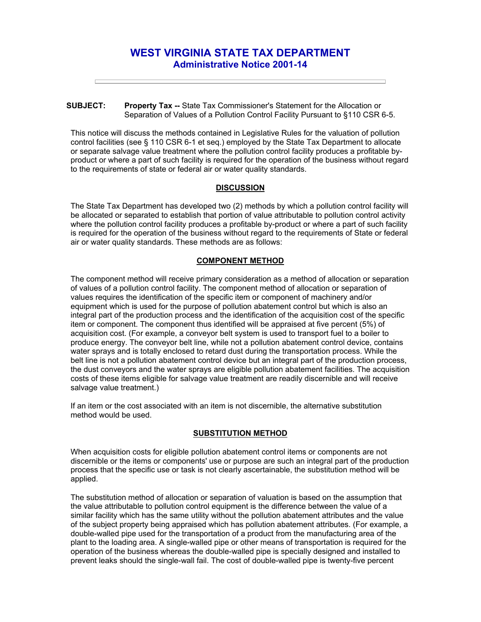# **WEST VIRGINIA STATE TAX DEPARTMENT Administrative Notice 2001-14**

## **SUBJECT: Property Tax --** State Tax Commissioner's Statement for the Allocation or Separation of Values of a Pollution Control Facility Pursuant to §110 CSR 6-5.

This notice will discuss the methods contained in Legislative Rules for the valuation of pollution control facilities (see § 110 CSR 6-1 et seq.) employed by the State Tax Department to allocate or separate salvage value treatment where the pollution control facility produces a profitable byproduct or where a part of such facility is required for the operation of the business without regard to the requirements of state or federal air or water quality standards.

## **DISCUSSION**

The State Tax Department has developed two (2) methods by which a pollution control facility will be allocated or separated to establish that portion of value attributable to pollution control activity where the pollution control facility produces a profitable by-product or where a part of such facility is required for the operation of the business without regard to the requirements of State or federal air or water quality standards. These methods are as follows:

## **COMPONENT METHOD**

The component method will receive primary consideration as a method of allocation or separation of values of a pollution control facility. The component method of allocation or separation of values requires the identification of the specific item or component of machinery and/or equipment which is used for the purpose of pollution abatement control but which is also an integral part of the production process and the identification of the acquisition cost of the specific item or component. The component thus identified will be appraised at five percent (5%) of acquisition cost. (For example, a conveyor belt system is used to transport fuel to a boiler to produce energy. The conveyor belt line, while not a pollution abatement control device, contains water sprays and is totally enclosed to retard dust during the transportation process. While the belt line is not a pollution abatement control device but an integral part of the production process, the dust conveyors and the water sprays are eligible pollution abatement facilities. The acquisition costs of these items eligible for salvage value treatment are readily discernible and will receive salvage value treatment.)

If an item or the cost associated with an item is not discernible, the alternative substitution method would be used.

## **SUBSTITUTION METHOD**

When acquisition costs for eligible pollution abatement control items or components are not discernible or the items or components' use or purpose are such an integral part of the production process that the specific use or task is not clearly ascertainable, the substitution method will be applied.

The substitution method of allocation or separation of valuation is based on the assumption that the value attributable to pollution control equipment is the difference between the value of a similar facility which has the same utility without the pollution abatement attributes and the value of the subject property being appraised which has pollution abatement attributes. (For example, a double-walled pipe used for the transportation of a product from the manufacturing area of the plant to the loading area. A single-walled pipe or other means of transportation is required for the operation of the business whereas the double-walled pipe is specially designed and installed to prevent leaks should the single-wall fail. The cost of double-walled pipe is twenty-five percent